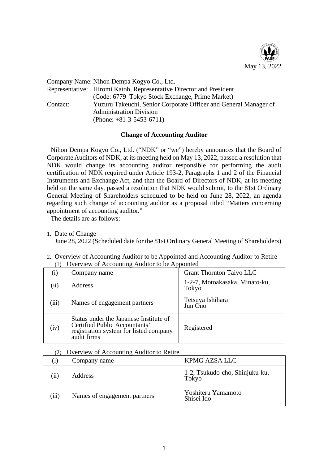

|          | Company Name: Nihon Dempa Kogyo Co., Ltd.                           |
|----------|---------------------------------------------------------------------|
|          | Representative: Hiromi Katoh, Representative Director and President |
|          | (Code: 6779 Tokyo Stock Exchange, Prime Market)                     |
| Contact: | Yuzuru Takeuchi, Senior Corporate Officer and General Manager of    |
|          | <b>Administration Division</b>                                      |
|          | (Phone: $+81-3-5453-6711$ )                                         |

## **Change of Accounting Auditor**

Nihon Dempa Kogyo Co., Ltd. ("NDK" or "we") hereby announces that the Board of Corporate Auditors of NDK, at its meeting held on May 13, 2022, passed a resolution that NDK would change its accounting auditor responsible for performing the audit certification of NDK required under Article 193-2, Paragraphs 1 and 2 of the Financial Instruments and Exchange Act, and that the Board of Directors of NDK, at its meeting held on the same day, passed a resolution that NDK would submit, to the 81st Ordinary General Meeting of Shareholders scheduled to be held on June 28, 2022, an agenda regarding such change of accounting auditor as a proposal titled "Matters concerning appointment of accounting auditor."

The details are as follows:

## 1. Date of Change

June 28, 2022 (Scheduled date for the 81st Ordinary General Meeting of Shareholders)

2. Overview of Accounting Auditor to be Appointed and Accounting Auditor to Retire (1) Overview of Accounting Auditor to be Appointed

| $\left( 1\right)$ | Company name                                                                                                                     | <b>Grant Thornton Taiyo LLC</b>         |
|-------------------|----------------------------------------------------------------------------------------------------------------------------------|-----------------------------------------|
| $\left(11\right)$ | <b>Address</b>                                                                                                                   | 1-2-7, Motoakasaka, Minato-ku,<br>Tokyo |
| (iii)             | Names of engagement partners                                                                                                     | Tetsuya Ishihara<br>Jun Ono             |
| (iv)              | Status under the Japanese Institute of<br>Certified Public Accountants'<br>registration system for listed company<br>audit firms | Registered                              |

## (2) Overview of Accounting Auditor to Retire

|       | Company name                 | KPMG AZSA LLC                                  |
|-------|------------------------------|------------------------------------------------|
| (11)  | <b>Address</b>               | 1-2, Tsukudo-cho, Shinjuku-ku,<br><b>Tokyo</b> |
| (111) | Names of engagement partners | Yoshiteru Yamamoto<br>Shisei Ido               |